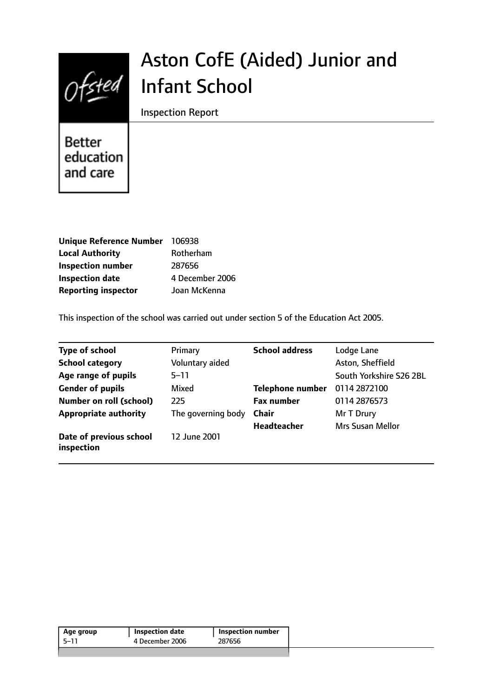

# Aston CofE (Aided) Junior and Infant School

Inspection Report

Better education and care

| Unique Reference Number 106938 |                 |
|--------------------------------|-----------------|
| <b>Local Authority</b>         | Rotherham       |
| <b>Inspection number</b>       | 287656          |
| <b>Inspection date</b>         | 4 December 2006 |
| <b>Reporting inspector</b>     | Joan McKenna    |

This inspection of the school was carried out under section 5 of the Education Act 2005.

| <b>Type of school</b>                 | Primary            | <b>School address</b>   | Lodge Lane              |
|---------------------------------------|--------------------|-------------------------|-------------------------|
| <b>School category</b>                | Voluntary aided    |                         | Aston, Sheffield        |
| Age range of pupils                   | $5 - 11$           |                         | South Yorkshire S26 2BL |
| <b>Gender of pupils</b>               | Mixed              | <b>Telephone number</b> | 0114 2872100            |
| Number on roll (school)               | 225                | <b>Fax number</b>       | 0114 2876573            |
| <b>Appropriate authority</b>          | The governing body | <b>Chair</b>            | Mr T Drury              |
|                                       |                    | <b>Headteacher</b>      | <b>Mrs Susan Mellor</b> |
| Date of previous school<br>inspection | 12 June 2001       |                         |                         |

| 287656<br>4 December 2006<br>-5–11 | Age group | <b>Inspection date</b> | <b>Inspection number</b> |  |
|------------------------------------|-----------|------------------------|--------------------------|--|
|                                    |           |                        |                          |  |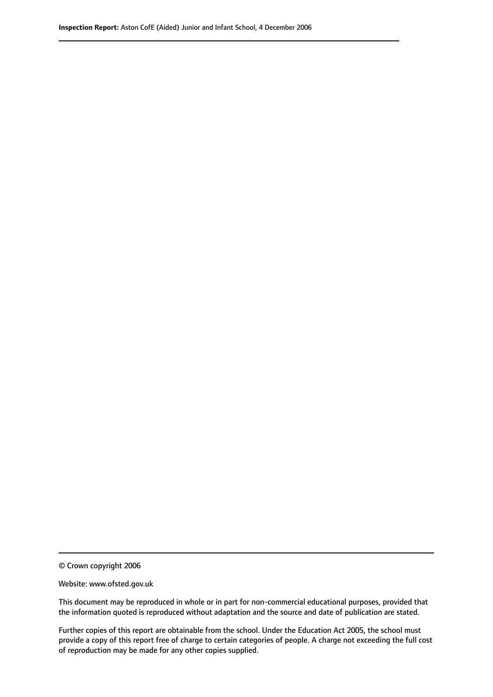© Crown copyright 2006

Website: www.ofsted.gov.uk

This document may be reproduced in whole or in part for non-commercial educational purposes, provided that the information quoted is reproduced without adaptation and the source and date of publication are stated.

Further copies of this report are obtainable from the school. Under the Education Act 2005, the school must provide a copy of this report free of charge to certain categories of people. A charge not exceeding the full cost of reproduction may be made for any other copies supplied.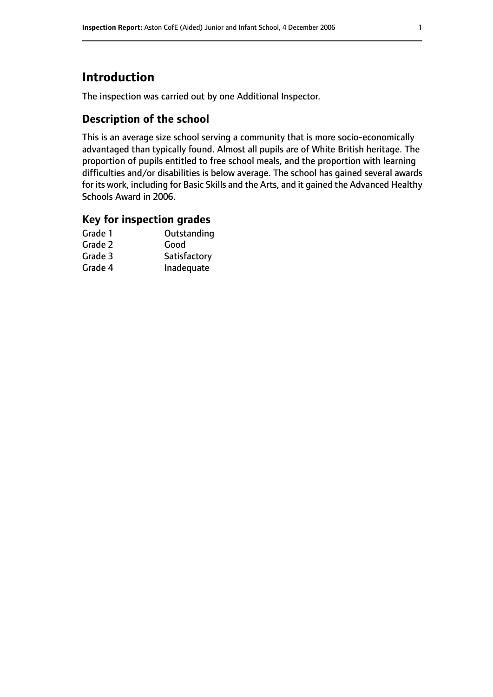# **Introduction**

The inspection was carried out by one Additional Inspector.

## **Description of the school**

This is an average size school serving a community that is more socio-economically advantaged than typically found. Almost all pupils are of White British heritage. The proportion of pupils entitled to free school meals, and the proportion with learning difficulties and/or disabilities is below average. The school has gained several awards for its work, including for Basic Skills and the Arts, and it gained the Advanced Healthy Schools Award in 2006.

#### **Key for inspection grades**

| Outstanding  |
|--------------|
| Good         |
| Satisfactory |
| Inadequate   |
|              |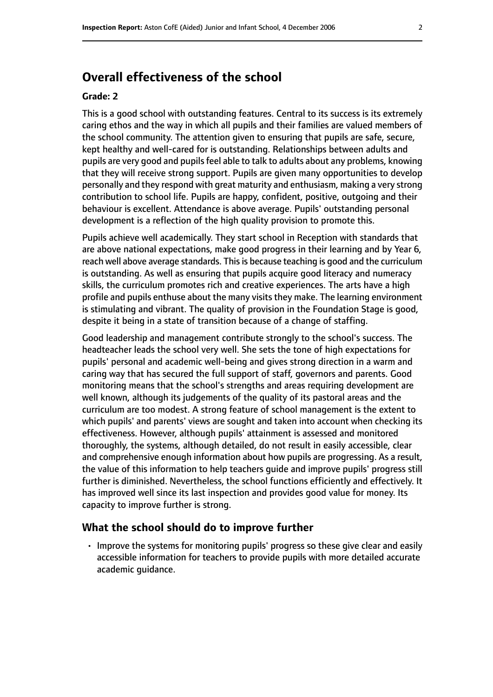# **Overall effectiveness of the school**

#### **Grade: 2**

This is a good school with outstanding features. Central to its success is its extremely caring ethos and the way in which all pupils and their families are valued members of the school community. The attention given to ensuring that pupils are safe, secure, kept healthy and well-cared for is outstanding. Relationships between adults and pupils are very good and pupils feel able to talk to adults about any problems, knowing that they will receive strong support. Pupils are given many opportunities to develop personally and they respond with great maturity and enthusiasm, making a very strong contribution to school life. Pupils are happy, confident, positive, outgoing and their behaviour is excellent. Attendance is above average. Pupils' outstanding personal development is a reflection of the high quality provision to promote this.

Pupils achieve well academically. They start school in Reception with standards that are above national expectations, make good progress in their learning and by Year 6, reach well above average standards. This is because teaching is good and the curriculum is outstanding. As well as ensuring that pupils acquire good literacy and numeracy skills, the curriculum promotes rich and creative experiences. The arts have a high profile and pupils enthuse about the many visits they make. The learning environment is stimulating and vibrant. The quality of provision in the Foundation Stage is good, despite it being in a state of transition because of a change of staffing.

Good leadership and management contribute strongly to the school's success. The headteacher leads the school very well. She sets the tone of high expectations for pupils' personal and academic well-being and gives strong direction in a warm and caring way that has secured the full support of staff, governors and parents. Good monitoring means that the school's strengths and areas requiring development are well known, although its judgements of the quality of its pastoral areas and the curriculum are too modest. A strong feature of school management is the extent to which pupils' and parents' views are sought and taken into account when checking its effectiveness. However, although pupils' attainment is assessed and monitored thoroughly, the systems, although detailed, do not result in easily accessible, clear and comprehensive enough information about how pupils are progressing. As a result, the value of this information to help teachers guide and improve pupils' progress still further is diminished. Nevertheless, the school functions efficiently and effectively. It has improved well since its last inspection and provides good value for money. Its capacity to improve further is strong.

#### **What the school should do to improve further**

• Improve the systems for monitoring pupils' progress so these give clear and easily accessible information for teachers to provide pupils with more detailed accurate academic guidance.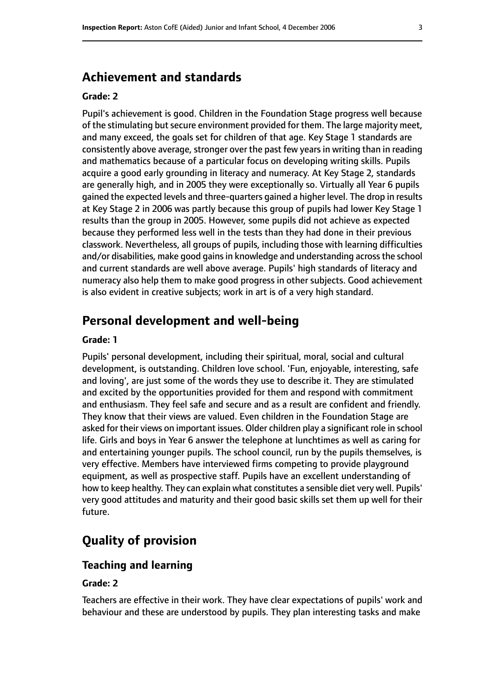# **Achievement and standards**

#### **Grade: 2**

Pupil's achievement is good. Children in the Foundation Stage progress well because of the stimulating but secure environment provided for them. The large majority meet, and many exceed, the goals set for children of that age. Key Stage 1 standards are consistently above average, stronger over the past few years in writing than in reading and mathematics because of a particular focus on developing writing skills. Pupils acquire a good early grounding in literacy and numeracy. At Key Stage 2, standards are generally high, and in 2005 they were exceptionally so. Virtually all Year 6 pupils gained the expected levels and three-quarters gained a higher level. The drop in results at Key Stage 2 in 2006 was partly because this group of pupils had lower Key Stage 1 results than the group in 2005. However, some pupils did not achieve as expected because they performed less well in the tests than they had done in their previous classwork. Nevertheless, all groups of pupils, including those with learning difficulties and/or disabilities, make good gains in knowledge and understanding across the school and current standards are well above average. Pupils' high standards of literacy and numeracy also help them to make good progress in other subjects. Good achievement is also evident in creative subjects; work in art is of a very high standard.

# **Personal development and well-being**

#### **Grade: 1**

Pupils' personal development, including their spiritual, moral, social and cultural development, is outstanding. Children love school. 'Fun, enjoyable, interesting, safe and loving', are just some of the words they use to describe it. They are stimulated and excited by the opportunities provided for them and respond with commitment and enthusiasm. They feel safe and secure and as a result are confident and friendly. They know that their views are valued. Even children in the Foundation Stage are asked for their views on important issues. Older children play a significant role in school life. Girls and boys in Year 6 answer the telephone at lunchtimes as well as caring for and entertaining younger pupils. The school council, run by the pupils themselves, is very effective. Members have interviewed firms competing to provide playground equipment, as well as prospective staff. Pupils have an excellent understanding of how to keep healthy. They can explain what constitutes a sensible diet very well. Pupils' very good attitudes and maturity and their good basic skills set them up well for their future.

# **Quality of provision**

#### **Teaching and learning**

#### **Grade: 2**

Teachers are effective in their work. They have clear expectations of pupils' work and behaviour and these are understood by pupils. They plan interesting tasks and make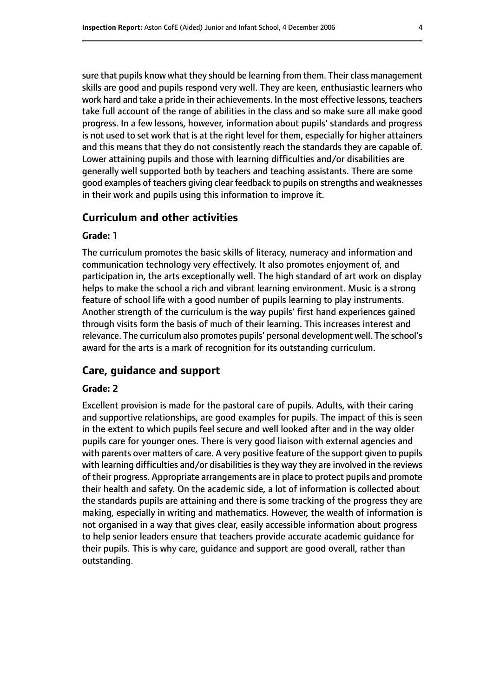sure that pupils know what they should be learning from them. Their class management skills are good and pupils respond very well. They are keen, enthusiastic learners who work hard and take a pride in their achievements. In the most effective lessons, teachers take full account of the range of abilities in the class and so make sure all make good progress. In a few lessons, however, information about pupils' standards and progress is not used to set work that is at the right level for them, especially for higher attainers and this means that they do not consistently reach the standards they are capable of. Lower attaining pupils and those with learning difficulties and/or disabilities are generally well supported both by teachers and teaching assistants. There are some good examples of teachers giving clear feedback to pupils on strengths and weaknesses in their work and pupils using this information to improve it.

#### **Curriculum and other activities**

#### **Grade: 1**

The curriculum promotes the basic skills of literacy, numeracy and information and communication technology very effectively. It also promotes enjoyment of, and participation in, the arts exceptionally well. The high standard of art work on display helps to make the school a rich and vibrant learning environment. Music is a strong feature of school life with a good number of pupils learning to play instruments. Another strength of the curriculum is the way pupils' first hand experiences gained through visits form the basis of much of their learning. This increases interest and relevance. The curriculum also promotes pupils' personal development well. The school's award for the arts is a mark of recognition for its outstanding curriculum.

#### **Care, guidance and support**

#### **Grade: 2**

Excellent provision is made for the pastoral care of pupils. Adults, with their caring and supportive relationships, are good examples for pupils. The impact of this is seen in the extent to which pupils feel secure and well looked after and in the way older pupils care for younger ones. There is very good liaison with external agencies and with parents over matters of care. A very positive feature of the support given to pupils with learning difficulties and/or disabilities is they way they are involved in the reviews of their progress. Appropriate arrangements are in place to protect pupils and promote their health and safety. On the academic side, a lot of information is collected about the standards pupils are attaining and there is some tracking of the progress they are making, especially in writing and mathematics. However, the wealth of information is not organised in a way that gives clear, easily accessible information about progress to help senior leaders ensure that teachers provide accurate academic guidance for their pupils. This is why care, guidance and support are good overall, rather than outstanding.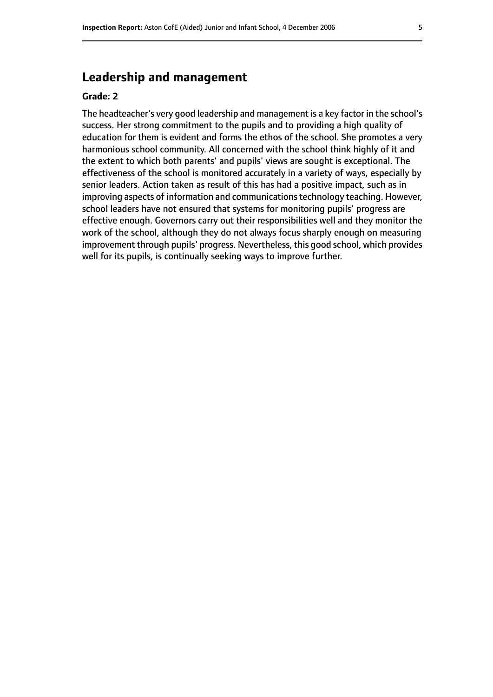# **Leadership and management**

#### **Grade: 2**

The headteacher's very good leadership and management is a key factor in the school's success. Her strong commitment to the pupils and to providing a high quality of education for them is evident and forms the ethos of the school. She promotes a very harmonious school community. All concerned with the school think highly of it and the extent to which both parents' and pupils' views are sought is exceptional. The effectiveness of the school is monitored accurately in a variety of ways, especially by senior leaders. Action taken as result of this has had a positive impact, such as in improving aspects of information and communications technology teaching. However, school leaders have not ensured that systems for monitoring pupils' progress are effective enough. Governors carry out their responsibilities well and they monitor the work of the school, although they do not always focus sharply enough on measuring improvement through pupils' progress. Nevertheless, this good school, which provides well for its pupils, is continually seeking ways to improve further.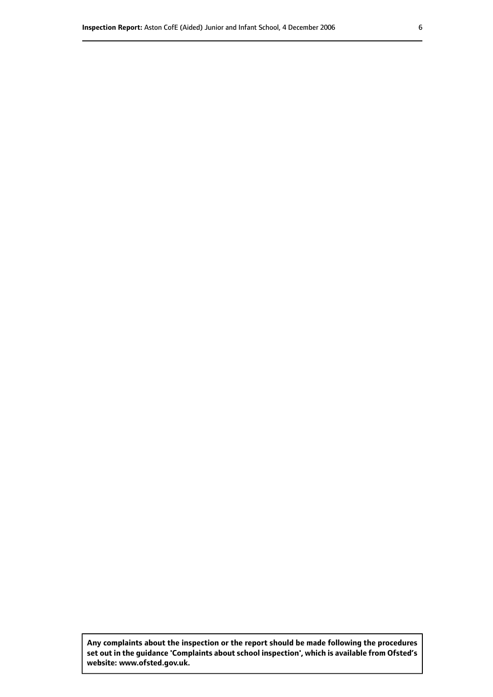**Any complaints about the inspection or the report should be made following the procedures set out inthe guidance 'Complaints about school inspection', whichis available from Ofsted's website: www.ofsted.gov.uk.**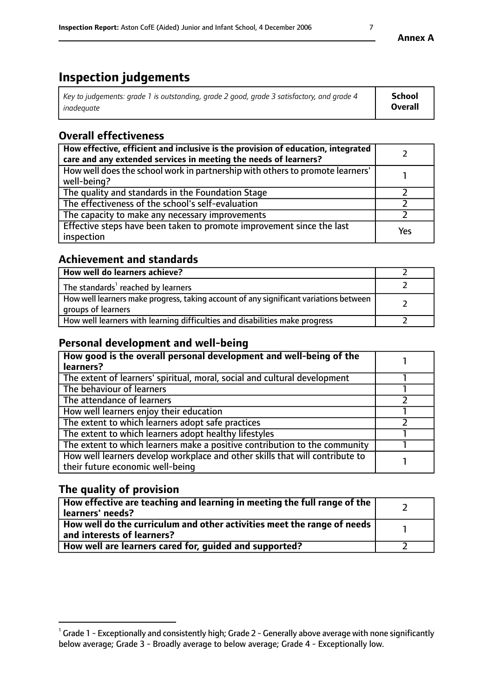# **Inspection judgements**

| Key to judgements: grade 1 is outstanding, grade 2 good, grade 3 satisfactory, and grade 4 | <b>School</b>  |
|--------------------------------------------------------------------------------------------|----------------|
| inadeauate                                                                                 | <b>Overall</b> |

# **Overall effectiveness**

| How effective, efficient and inclusive is the provision of education, integrated<br>care and any extended services in meeting the needs of learners? |     |
|------------------------------------------------------------------------------------------------------------------------------------------------------|-----|
| How well does the school work in partnership with others to promote learners'<br>well-being?                                                         |     |
| The quality and standards in the Foundation Stage                                                                                                    |     |
| The effectiveness of the school's self-evaluation                                                                                                    |     |
| The capacity to make any necessary improvements                                                                                                      |     |
| Effective steps have been taken to promote improvement since the last<br>inspection                                                                  | Yes |

# **Achievement and standards**

| How well do learners achieve?                                                                               |  |
|-------------------------------------------------------------------------------------------------------------|--|
| The standards <sup>1</sup> reached by learners                                                              |  |
| How well learners make progress, taking account of any significant variations between<br>groups of learners |  |
| How well learners with learning difficulties and disabilities make progress                                 |  |

# **Personal development and well-being**

| How good is the overall personal development and well-being of the<br>learners?                                  |  |
|------------------------------------------------------------------------------------------------------------------|--|
| The extent of learners' spiritual, moral, social and cultural development                                        |  |
| The behaviour of learners                                                                                        |  |
| The attendance of learners                                                                                       |  |
| How well learners enjoy their education                                                                          |  |
| The extent to which learners adopt safe practices                                                                |  |
| The extent to which learners adopt healthy lifestyles                                                            |  |
| The extent to which learners make a positive contribution to the community                                       |  |
| How well learners develop workplace and other skills that will contribute to<br>their future economic well-being |  |

# **The quality of provision**

| $\Box$ How effective are teaching and learning in meeting the full range of the $\Box$<br>  learners' needs?        |  |
|---------------------------------------------------------------------------------------------------------------------|--|
| $\mid$ How well do the curriculum and other activities meet the range of needs<br>$\mid$ and interests of learners? |  |
| How well are learners cared for, guided and supported?                                                              |  |

 $^1$  Grade 1 - Exceptionally and consistently high; Grade 2 - Generally above average with none significantly below average; Grade 3 - Broadly average to below average; Grade 4 - Exceptionally low.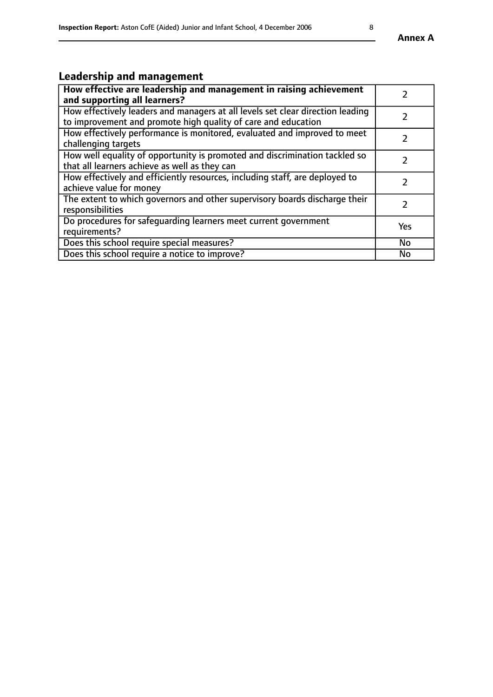# **Leadership and management**

| How effective are leadership and management in raising achievement<br>and supporting all learners?                                              |               |
|-------------------------------------------------------------------------------------------------------------------------------------------------|---------------|
| How effectively leaders and managers at all levels set clear direction leading<br>to improvement and promote high quality of care and education |               |
| How effectively performance is monitored, evaluated and improved to meet<br>challenging targets                                                 |               |
| How well equality of opportunity is promoted and discrimination tackled so<br>that all learners achieve as well as they can                     |               |
| How effectively and efficiently resources, including staff, are deployed to<br>achieve value for money                                          | $\mathcal{P}$ |
| The extent to which governors and other supervisory boards discharge their<br>responsibilities                                                  |               |
| Do procedures for safeguarding learners meet current government<br>requirements?                                                                | Yes           |
| Does this school require special measures?                                                                                                      | <b>No</b>     |
| Does this school require a notice to improve?                                                                                                   | <b>No</b>     |